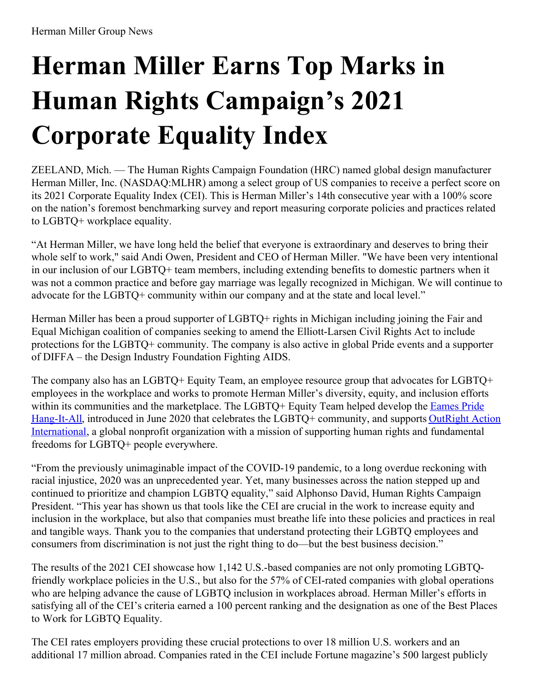# **Herman Miller Earns Top Marks in Human Rights Campaign's 2021 Corporate Equality Index**

ZEELAND, Mich. — The Human Rights Campaign Foundation (HRC) named global design manufacturer Herman Miller, Inc. (NASDAQ:MLHR) among a select group of US companies to receive a perfect score on its 2021 Corporate Equality Index (CEI). This is Herman Miller's 14th consecutive year with a 100% score on the nation's foremost benchmarking survey and report measuring corporate policies and practices related to LGBTQ+ workplace equality.

"At Herman Miller, we have long held the belief that everyone is extraordinary and deserves to bring their whole self to work," said Andi Owen, President and CEO of Herman Miller. "We have been very intentional in our inclusion of our LGBTQ+ team members, including extending benefits to domestic partners when it was not a common practice and before gay marriage was legally recognized in Michigan. We will continue to advocate for the LGBTQ+ community within our company and at the state and local level."

Herman Miller has been a proud supporter of LGBTQ+ rights in Michigan including joining the Fair and Equal Michigan coalition of companies seeking to amend the Elliott-Larsen Civil Rights Act to include protections for the LGBTQ+ community. The company is also active in global Pride events and a supporter of DIFFA – the Design Industry Foundation Fighting AIDS.

The company also has an LGBTQ+ Equity Team, an employee resource group that advocates for LGBTQ+ employees in the workplace and works to promote Herman Miller's diversity, equity, and inclusion efforts within its [communities](https://store.hermanmiller.com/accessories/accents/eames-hang-it-all/6676.html?lang=en_UShttps://store.hermanmiller.com/accessories/accents/eames-hang-it-all/6676.html?lang=en_US) and the marketplace. The LGBTQ+ Equity Team helped develop the Eames Pride Hang-It-All, introduced in June 2020 that celebrates the LGBTQ+ community, and supports OutRight Action [International,](https://outrightinternational.org/what-outright-fights-for?gclid=EAIaIQobChMIm6mB-MC26QIVBonICh3TtAg8EAAYASAAEgLng_D_BwE) a global nonprofit organization with a mission of supporting human rights and fundamental freedoms for LGBTQ+ people everywhere.

"From the previously unimaginable impact of the COVID-19 pandemic, to a long overdue reckoning with racial injustice, 2020 was an unprecedented year. Yet, many businesses across the nation stepped up and continued to prioritize and champion LGBTQ equality," said Alphonso David, Human Rights Campaign President. "This year has shown us that tools like the CEI are crucial in the work to increase equity and inclusion in the workplace, but also that companies must breathe life into these policies and practices in real and tangible ways. Thank you to the companies that understand protecting their LGBTQ employees and consumers from discrimination is not just the right thing to do—but the best business decision."

The results of the 2021 CEI showcase how 1,142 U.S.-based companies are not only promoting LGBTQfriendly workplace policies in the U.S., but also for the 57% of CEI-rated companies with global operations who are helping advance the cause of LGBTQ inclusion in workplaces abroad. Herman Miller's efforts in satisfying all of the CEI's criteria earned a 100 percent ranking and the designation as one of the Best Places to Work for LGBTQ Equality.

The CEI rates employers providing these crucial protections to over 18 million U.S. workers and an additional 17 million abroad. Companies rated in the CEI include Fortune magazine's 500 largest publicly